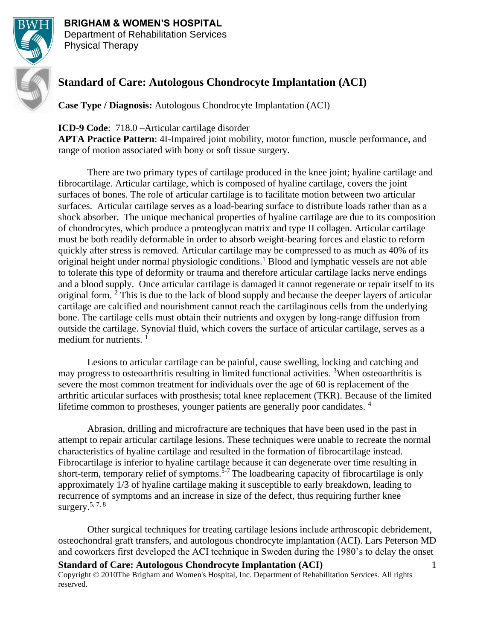

# **BRIGHAM & WOMEN'S HOSPITAL**

Department of Rehabilitation Services Physical Therapy

# **Standard of Care: Autologous Chondrocyte Implantation (ACI)**

**Case Type / Diagnosis:** Autologous Chondrocyte Implantation (ACI)

**ICD-9 Code**: 718.0 –Articular cartilage disorder

**APTA Practice Pattern**: 4I-Impaired joint mobility, motor function, muscle performance, and range of motion associated with bony or soft tissue surgery.

There are two primary types of cartilage produced in the knee joint; hyaline cartilage and fibrocartilage. Articular cartilage, which is composed of hyaline cartilage, covers the joint surfaces of bones. The role of articular cartilage is to facilitate motion between two articular surfaces. Articular cartilage serves as a load-bearing surface to distribute loads rather than as a shock absorber. The unique mechanical properties of hyaline cartilage are due to its composition of chondrocytes, which produce a proteoglycan matrix and type II collagen. Articular cartilage must be both readily deformable in order to absorb weight-bearing forces and elastic to reform quickly after stress is removed. Articular cartilage may be compressed to as much as 40% of its original height under normal physiologic conditions.<sup>1</sup> Blood and lymphatic vessels are not able to tolerate this type of deformity or trauma and therefore articular cartilage lacks nerve endings and a blood supply. Once articular cartilage is damaged it cannot regenerate or repair itself to its original form. <sup>2</sup> This is due to the lack of blood supply and because the deeper layers of articular cartilage are calcified and nourishment cannot reach the cartilaginous cells from the underlying bone. The cartilage cells must obtain their nutrients and oxygen by long-range diffusion from outside the cartilage. Synovial fluid, which covers the surface of articular cartilage, serves as a medium for nutrients.  $<sup>1</sup>$ </sup>

Lesions to articular cartilage can be painful, cause swelling, locking and catching and may progress to osteoarthritis resulting in limited functional activities. <sup>3</sup>When osteoarthritis is severe the most common treatment for individuals over the age of 60 is replacement of the arthritic articular surfaces with prosthesis; total knee replacement (TKR). Because of the limited lifetime common to prostheses, younger patients are generally poor candidates.<sup>4</sup>

Abrasion, drilling and microfracture are techniques that have been used in the past in attempt to repair articular cartilage lesions. These techniques were unable to recreate the normal characteristics of hyaline cartilage and resulted in the formation of fibrocartilage instead. Fibrocartilage is inferior to hyaline cartilage because it can degenerate over time resulting in short-term, temporary relief of symptoms.<sup>5-7</sup> The loadbearing capacity of fibrocartilage is only approximately 1/3 of hyaline cartilage making it susceptible to early breakdown, leading to recurrence of symptoms and an increase in size of the defect, thus requiring further knee surgery.  $5, 7, 8$ 

**Standard of Care: Autologous Chondrocyte Implantation (ACI)** Copyright © 2010The Brigham and Women's Hospital, Inc. Department of Rehabilitation Services. All rights reserved. 1 Other surgical techniques for treating cartilage lesions include arthroscopic debridement, osteochondral graft transfers, and autologous chondrocyte implantation (ACI). Lars Peterson MD and coworkers first developed the ACI technique in Sweden during the 1980's to delay the onset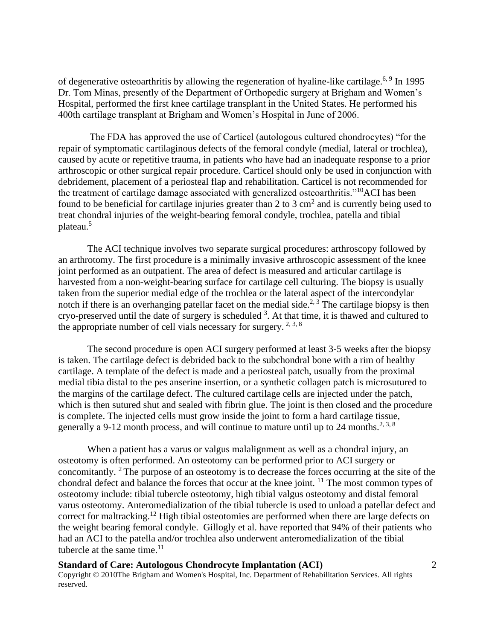of degenerative osteoarthritis by allowing the regeneration of hyaline-like cartilage.<sup>6, 9</sup> In 1995 Dr. Tom Minas, presently of the Department of Orthopedic surgery at Brigham and Women's Hospital, performed the first knee cartilage transplant in the United States. He performed his 400th cartilage transplant at Brigham and Women's Hospital in June of 2006.

The FDA has approved the use of Carticel (autologous cultured chondrocytes) "for the repair of symptomatic cartilaginous defects of the femoral condyle (medial, lateral or trochlea), caused by acute or repetitive trauma, in patients who have had an inadequate response to a prior arthroscopic or other surgical repair procedure. Carticel should only be used in conjunction with debridement, placement of a periosteal flap and rehabilitation. Carticel is not recommended for the treatment of cartilage damage associated with generalized osteoarthritis."<sup>10</sup>ACI has been found to be beneficial for cartilage injuries greater than 2 to 3  $\text{cm}^2$  and is currently being used to treat chondral injuries of the weight-bearing femoral condyle, trochlea, patella and tibial plateau.<sup>5</sup>

The ACI technique involves two separate surgical procedures: arthroscopy followed by an arthrotomy. The first procedure is a minimally invasive arthroscopic assessment of the knee joint performed as an outpatient. The area of defect is measured and articular cartilage is harvested from a non-weight-bearing surface for cartilage cell culturing. The biopsy is usually taken from the superior medial edge of the trochlea or the lateral aspect of the intercondylar notch if there is an overhanging patellar facet on the medial side.<sup>2, 3</sup> The cartilage biopsy is then cryo-preserved until the date of surgery is scheduled <sup>3</sup>. At that time, it is thawed and cultured to the appropriate number of cell vials necessary for surgery.  $2,3,8$ 

The second procedure is open ACI surgery performed at least 3-5 weeks after the biopsy is taken. The cartilage defect is debrided back to the subchondral bone with a rim of healthy cartilage. A template of the defect is made and a periosteal patch, usually from the proximal medial tibia distal to the pes anserine insertion, or a synthetic collagen patch is microsutured to the margins of the cartilage defect. The cultured cartilage cells are injected under the patch, which is then sutured shut and sealed with fibrin glue. The joint is then closed and the procedure is complete. The injected cells must grow inside the joint to form a hard cartilage tissue, generally a 9-12 month process, and will continue to mature until up to 24 months.<sup>2, 3, 8</sup>

When a patient has a varus or valgus malalignment as well as a chondral injury, an osteotomy is often performed. An osteotomy can be performed prior to ACI surgery or concomitantly. <sup>2</sup> The purpose of an osteotomy is to decrease the forces occurring at the site of the chondral defect and balance the forces that occur at the knee joint. <sup>11</sup> The most common types of osteotomy include: tibial tubercle osteotomy, high tibial valgus osteotomy and distal femoral varus osteotomy. Anteromedialization of the tibial tubercle is used to unload a patellar defect and correct for maltracking.<sup>12</sup> High tibial osteotomies are performed when there are large defects on the weight bearing femoral condyle. Gillogly et al. have reported that 94% of their patients who had an ACI to the patella and/or trochlea also underwent anteromedialization of the tibial tubercle at the same time. $^{11}$ 

# **Standard of Care: Autologous Chondrocyte Implantation (ACI)**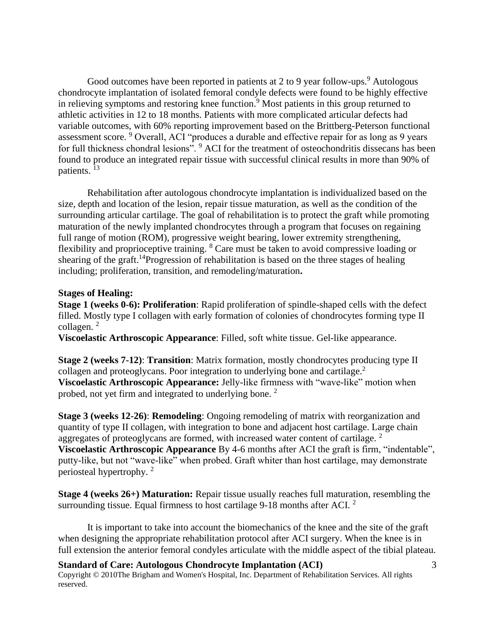Good outcomes have been reported in patients at 2 to 9 year follow-ups.<sup>9</sup> Autologous chondrocyte implantation of isolated femoral condyle defects were found to be highly effective in relieving symptoms and restoring knee function.<sup>9</sup> Most patients in this group returned to athletic activities in 12 to 18 months. Patients with more complicated articular defects had variable outcomes, with 60% reporting improvement based on the Brittberg-Peterson functional assessment score. <sup>9</sup> Overall, ACI "produces a durable and effective repair for as long as 9 years for full thickness chondral lesions". <sup>9</sup> ACI for the treatment of osteochondritis dissecans has been found to produce an integrated repair tissue with successful clinical results in more than 90% of patients. <sup>13</sup>

Rehabilitation after autologous chondrocyte implantation is individualized based on the size, depth and location of the lesion, repair tissue maturation, as well as the condition of the surrounding articular cartilage. The goal of rehabilitation is to protect the graft while promoting maturation of the newly implanted chondrocytes through a program that focuses on regaining full range of motion (ROM), progressive weight bearing, lower extremity strengthening, flexibility and proprioceptive training. <sup>8</sup> Care must be taken to avoid compressive loading or shearing of the graft.<sup>14</sup>Progression of rehabilitation is based on the three stages of healing including; proliferation, transition, and remodeling/maturation**.**

#### **Stages of Healing:**

**Stage 1 (weeks 0-6): Proliferation**: Rapid proliferation of spindle-shaped cells with the defect filled. Mostly type I collagen with early formation of colonies of chondrocytes forming type II collagen.<sup>2</sup>

**Viscoelastic Arthroscopic Appearance**: Filled, soft white tissue. Gel-like appearance.

**Stage 2 (weeks 7-12)**: **Transition**: Matrix formation, mostly chondrocytes producing type II collagen and proteoglycans. Poor integration to underlying bone and cartilage.<sup>2</sup> **Viscoelastic Arthroscopic Appearance:** Jelly-like firmness with "wave-like" motion when probed, not yet firm and integrated to underlying bone.<sup>2</sup>

**Stage 3 (weeks 12-26)**: **Remodeling**: Ongoing remodeling of matrix with reorganization and quantity of type II collagen, with integration to bone and adjacent host cartilage. Large chain aggregates of proteoglycans are formed, with increased water content of cartilage. <sup>2</sup> **Viscoelastic Arthroscopic Appearance** By 4-6 months after ACI the graft is firm, "indentable", putty-like, but not "wave-like" when probed. Graft whiter than host cartilage, may demonstrate periosteal hypertrophy. <sup>2</sup>

**Stage 4 (weeks 26+) Maturation:** Repair tissue usually reaches full maturation, resembling the surrounding tissue. Equal firmness to host cartilage 9-18 months after ACI.<sup>2</sup>

It is important to take into account the biomechanics of the knee and the site of the graft when designing the appropriate rehabilitation protocol after ACI surgery. When the knee is in full extension the anterior femoral condyles articulate with the middle aspect of the tibial plateau.

#### **Standard of Care: Autologous Chondrocyte Implantation (ACI)**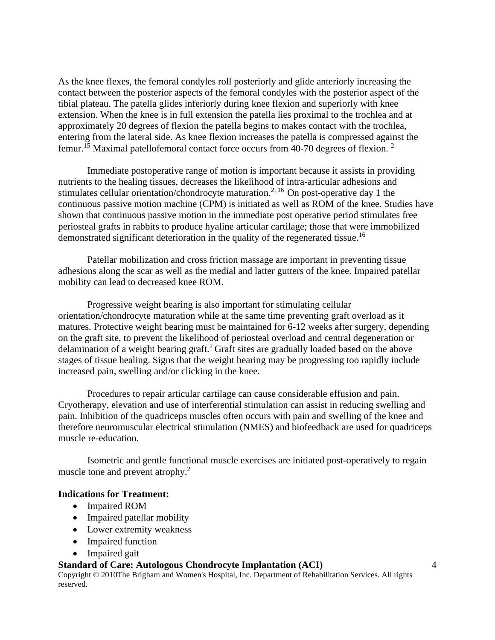As the knee flexes, the femoral condyles roll posteriorly and glide anteriorly increasing the contact between the posterior aspects of the femoral condyles with the posterior aspect of the tibial plateau. The patella glides inferiorly during knee flexion and superiorly with knee extension. When the knee is in full extension the patella lies proximal to the trochlea and at approximately 20 degrees of flexion the patella begins to makes contact with the trochlea, entering from the lateral side. As knee flexion increases the patella is compressed against the femur.<sup>15</sup> Maximal patellofemoral contact force occurs from 40-70 degrees of flexion. <sup>2</sup>

Immediate postoperative range of motion is important because it assists in providing nutrients to the healing tissues, decreases the likelihood of intra-articular adhesions and stimulates cellular orientation/chondrocyte maturation.<sup>2, 16</sup> On post-operative day 1 the continuous passive motion machine (CPM) is initiated as well as ROM of the knee. Studies have shown that continuous passive motion in the immediate post operative period stimulates free periosteal grafts in rabbits to produce hyaline articular cartilage; those that were immobilized demonstrated significant deterioration in the quality of the regenerated tissue.<sup>16</sup>

Patellar mobilization and cross friction massage are important in preventing tissue adhesions along the scar as well as the medial and latter gutters of the knee. Impaired patellar mobility can lead to decreased knee ROM.

Progressive weight bearing is also important for stimulating cellular orientation/chondrocyte maturation while at the same time preventing graft overload as it matures. Protective weight bearing must be maintained for 6-12 weeks after surgery, depending on the graft site, to prevent the likelihood of periosteal overload and central degeneration or delamination of a weight bearing graft.<sup>2</sup> Graft sites are gradually loaded based on the above stages of tissue healing. Signs that the weight bearing may be progressing too rapidly include increased pain, swelling and/or clicking in the knee.

Procedures to repair articular cartilage can cause considerable effusion and pain. Cryotherapy, elevation and use of interferential stimulation can assist in reducing swelling and pain. Inhibition of the quadriceps muscles often occurs with pain and swelling of the knee and therefore neuromuscular electrical stimulation (NMES) and biofeedback are used for quadriceps muscle re-education.

Isometric and gentle functional muscle exercises are initiated post-operatively to regain muscle tone and prevent atrophy.<sup>2</sup>

#### **Indications for Treatment:**

- Impaired ROM
- Impaired patellar mobility
- Lower extremity weakness
- Impaired function
- Impaired gait

### **Standard of Care: Autologous Chondrocyte Implantation (ACI)**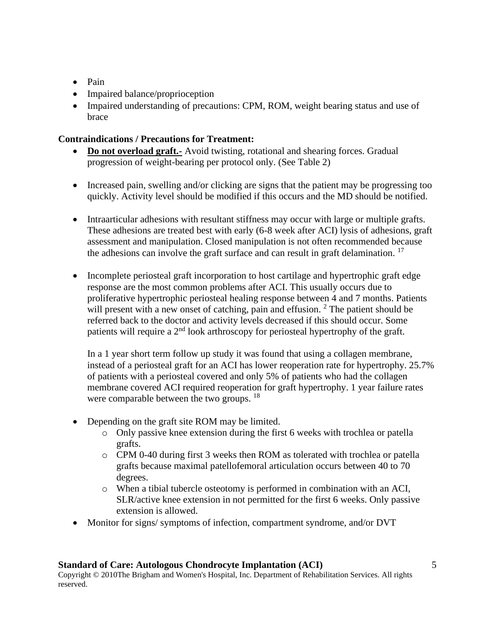- Pain
- Impaired balance/proprioception
- Impaired understanding of precautions: CPM, ROM, weight bearing status and use of brace

### **Contraindications / Precautions for Treatment:**

- **Do not overload graft.-** Avoid twisting, rotational and shearing forces. Gradual progression of weight-bearing per protocol only. (See Table 2)
- Increased pain, swelling and/or clicking are signs that the patient may be progressing too quickly. Activity level should be modified if this occurs and the MD should be notified.
- Intraarticular adhesions with resultant stiffness may occur with large or multiple grafts. These adhesions are treated best with early (6-8 week after ACI) lysis of adhesions, graft assessment and manipulation. Closed manipulation is not often recommended because the adhesions can involve the graft surface and can result in graft delamination.  $17$
- Incomplete periosteal graft incorporation to host cartilage and hypertrophic graft edge response are the most common problems after ACI. This usually occurs due to proliferative hypertrophic periosteal healing response between 4 and 7 months. Patients will present with a new onset of catching, pain and effusion.  $2^{\circ}$  The patient should be referred back to the doctor and activity levels decreased if this should occur. Some patients will require a  $2<sup>nd</sup>$  look arthroscopy for periosteal hypertrophy of the graft.

In a 1 year short term follow up study it was found that using a collagen membrane, instead of a periosteal graft for an ACI has lower reoperation rate for hypertrophy. 25.7% of patients with a periosteal covered and only 5% of patients who had the collagen membrane covered ACI required reoperation for graft hypertrophy. 1 year failure rates were comparable between the two groups. <sup>18</sup>

- Depending on the graft site ROM may be limited.
	- o Only passive knee extension during the first 6 weeks with trochlea or patella grafts.
	- o CPM 0-40 during first 3 weeks then ROM as tolerated with trochlea or patella grafts because maximal patellofemoral articulation occurs between 40 to 70 degrees.
	- o When a tibial tubercle osteotomy is performed in combination with an ACI, SLR/active knee extension in not permitted for the first 6 weeks. Only passive extension is allowed.
- Monitor for signs/ symptoms of infection, compartment syndrome, and/or DVT

#### **Standard of Care: Autologous Chondrocyte Implantation (ACI)**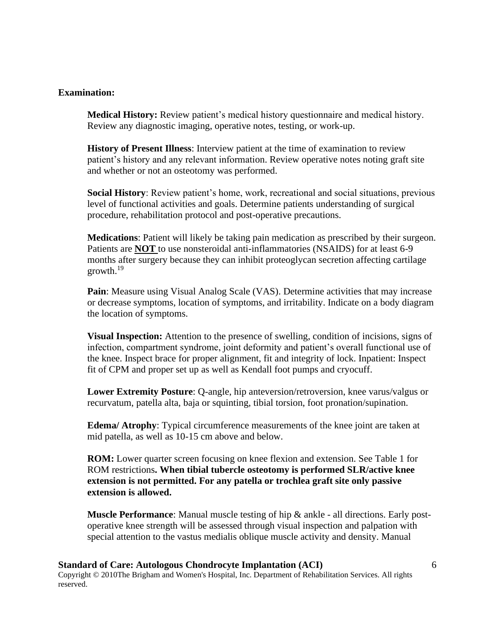#### **Examination:**

**Medical History:** Review patient's medical history questionnaire and medical history. Review any diagnostic imaging, operative notes, testing, or work-up.

**History of Present Illness**: Interview patient at the time of examination to review patient's history and any relevant information. Review operative notes noting graft site and whether or not an osteotomy was performed.

**Social History**: Review patient's home, work, recreational and social situations, previous level of functional activities and goals. Determine patients understanding of surgical procedure, rehabilitation protocol and post-operative precautions.

**Medications**: Patient will likely be taking pain medication as prescribed by their surgeon. Patients are **NOT** to use nonsteroidal anti-inflammatories (NSAIDS) for at least 6-9 months after surgery because they can inhibit proteoglycan secretion affecting cartilage growth. $19$ 

**Pain**: Measure using Visual Analog Scale (VAS). Determine activities that may increase or decrease symptoms, location of symptoms, and irritability. Indicate on a body diagram the location of symptoms.

**Visual Inspection:** Attention to the presence of swelling, condition of incisions, signs of infection, compartment syndrome, joint deformity and patient's overall functional use of the knee. Inspect brace for proper alignment, fit and integrity of lock. Inpatient: Inspect fit of CPM and proper set up as well as Kendall foot pumps and cryocuff.

**Lower Extremity Posture**: Q-angle, hip anteversion/retroversion, knee varus/valgus or recurvatum, patella alta, baja or squinting, tibial torsion, foot pronation/supination.

**Edema/ Atrophy**: Typical circumference measurements of the knee joint are taken at mid patella, as well as 10-15 cm above and below.

**ROM:** Lower quarter screen focusing on knee flexion and extension. See Table 1 for ROM restrictions**. When tibial tubercle osteotomy is performed SLR/active knee extension is not permitted. For any patella or trochlea graft site only passive extension is allowed.**

**Muscle Performance**: Manual muscle testing of hip & ankle - all directions. Early postoperative knee strength will be assessed through visual inspection and palpation with special attention to the vastus medialis oblique muscle activity and density. Manual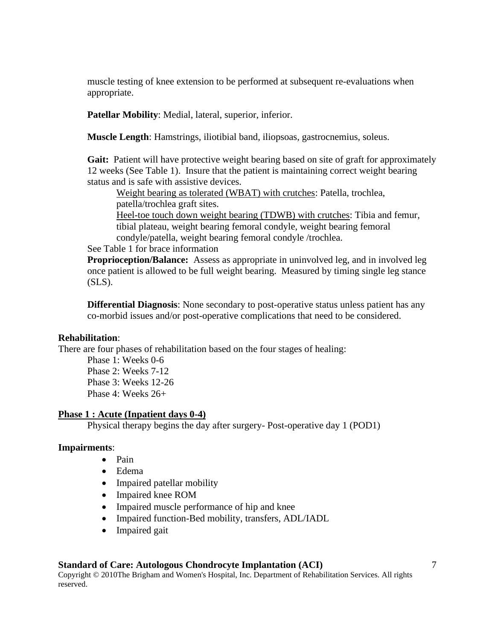muscle testing of knee extension to be performed at subsequent re-evaluations when appropriate.

**Patellar Mobility**: Medial, lateral, superior, inferior.

**Muscle Length**: Hamstrings, iliotibial band, iliopsoas, gastrocnemius, soleus.

Gait: Patient will have protective weight bearing based on site of graft for approximately 12 weeks (See Table 1). Insure that the patient is maintaining correct weight bearing status and is safe with assistive devices.

Weight bearing as tolerated (WBAT) with crutches: Patella, trochlea, patella/trochlea graft sites.

Heel-toe touch down weight bearing (TDWB) with crutches: Tibia and femur, tibial plateau, weight bearing femoral condyle, weight bearing femoral condyle/patella, weight bearing femoral condyle /trochlea.

See Table 1 for brace information

**Proprioception/Balance:** Assess as appropriate in uninvolved leg, and in involved leg once patient is allowed to be full weight bearing. Measured by timing single leg stance  $(SLS)$ .

**Differential Diagnosis**: None secondary to post-operative status unless patient has any co-morbid issues and/or post-operative complications that need to be considered.

#### **Rehabilitation**:

There are four phases of rehabilitation based on the four stages of healing:

Phase 1: Weeks 0-6 Phase 2: Weeks 7-12 Phase 3: Weeks 12-26 Phase 4: Weeks 26+

#### **Phase 1 : Acute (Inpatient days 0-4)**

Physical therapy begins the day after surgery- Post-operative day 1 (POD1)

#### **Impairments**:

- Pain
- Edema
- Impaired patellar mobility
- Impaired knee ROM
- Impaired muscle performance of hip and knee
- Impaired function-Bed mobility, transfers, ADL/IADL
- Impaired gait

#### **Standard of Care: Autologous Chondrocyte Implantation (ACI)**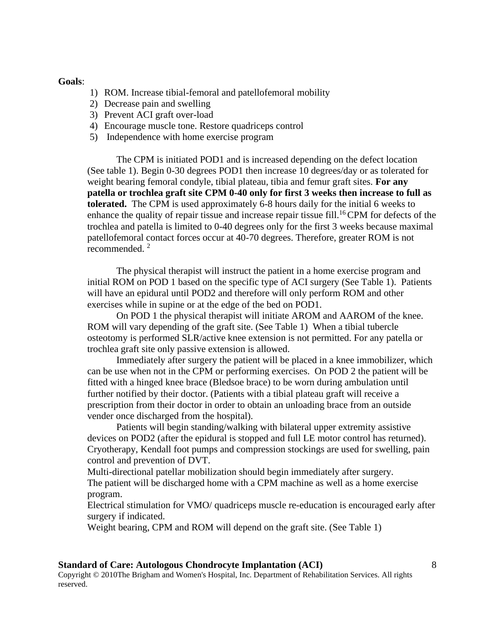#### **Goals**:

- 1) ROM. Increase tibial-femoral and patellofemoral mobility
- 2) Decrease pain and swelling
- 3) Prevent ACI graft over-load
- 4) Encourage muscle tone. Restore quadriceps control
- 5) Independence with home exercise program

The CPM is initiated POD1 and is increased depending on the defect location (See table 1). Begin 0-30 degrees POD1 then increase 10 degrees/day or as tolerated for weight bearing femoral condyle, tibial plateau, tibia and femur graft sites. **For any patella or trochlea graft site CPM 0-40 only for first 3 weeks then increase to full as tolerated.** The CPM is used approximately 6-8 hours daily for the initial 6 weeks to enhance the quality of repair tissue and increase repair tissue fill.<sup>16</sup>CPM for defects of the trochlea and patella is limited to 0-40 degrees only for the first 3 weeks because maximal patellofemoral contact forces occur at 40-70 degrees. Therefore, greater ROM is not recommended.<sup>2</sup>

The physical therapist will instruct the patient in a home exercise program and initial ROM on POD 1 based on the specific type of ACI surgery (See Table 1). Patients will have an epidural until POD2 and therefore will only perform ROM and other exercises while in supine or at the edge of the bed on POD1.

On POD 1 the physical therapist will initiate AROM and AAROM of the knee. ROM will vary depending of the graft site. (See Table 1)When a tibial tubercle osteotomy is performed SLR/active knee extension is not permitted. For any patella or trochlea graft site only passive extension is allowed.

Immediately after surgery the patient will be placed in a knee immobilizer, which can be use when not in the CPM or performing exercises. On POD 2 the patient will be fitted with a hinged knee brace (Bledsoe brace) to be worn during ambulation until further notified by their doctor. (Patients with a tibial plateau graft will receive a prescription from their doctor in order to obtain an unloading brace from an outside vender once discharged from the hospital).

Patients will begin standing/walking with bilateral upper extremity assistive devices on POD2 (after the epidural is stopped and full LE motor control has returned). Cryotherapy, Kendall foot pumps and compression stockings are used for swelling, pain control and prevention of DVT.

Multi-directional patellar mobilization should begin immediately after surgery. The patient will be discharged home with a CPM machine as well as a home exercise program.

Electrical stimulation for VMO/ quadriceps muscle re-education is encouraged early after surgery if indicated.

Weight bearing, CPM and ROM will depend on the graft site. (See Table 1)

#### **Standard of Care: Autologous Chondrocyte Implantation (ACI)**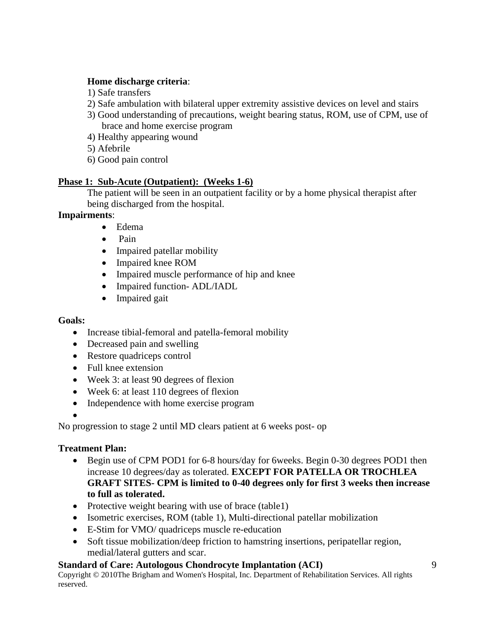#### **Home discharge criteria**:

- 1) Safe transfers
- 2) Safe ambulation with bilateral upper extremity assistive devices on level and stairs
- 3) Good understanding of precautions, weight bearing status, ROM, use of CPM, use of brace and home exercise program
- 4) Healthy appearing wound
- 5) Afebrile
- 6) Good pain control

# **Phase 1: Sub-Acute (Outpatient): (Weeks 1-6)**

The patient will be seen in an outpatient facility or by a home physical therapist after being discharged from the hospital.

# **Impairments**:

- Edema
- Pain
- Impaired patellar mobility
- Impaired knee ROM
- Impaired muscle performance of hip and knee
- Impaired function-ADL/IADL
- Impaired gait

#### **Goals:**

- Increase tibial-femoral and patella-femoral mobility
- Decreased pain and swelling
- Restore quadriceps control
- Full knee extension
- Week 3: at least 90 degrees of flexion
- Week 6: at least 110 degrees of flexion
- Independence with home exercise program

#### •

No progression to stage 2 until MD clears patient at 6 weeks post- op

### **Treatment Plan:**

- Begin use of CPM POD1 for 6-8 hours/day for 6weeks. Begin 0-30 degrees POD1 then increase 10 degrees/day as tolerated. **EXCEPT FOR PATELLA OR TROCHLEA GRAFT SITES- CPM is limited to 0-40 degrees only for first 3 weeks then increase to full as tolerated.**
- Protective weight bearing with use of brace (table1)
- Isometric exercises, ROM (table 1), Multi-directional patellar mobilization
- E-Stim for VMO/ quadriceps muscle re-education
- Soft tissue mobilization/deep friction to hamstring insertions, peripatellar region, medial/lateral gutters and scar.

# **Standard of Care: Autologous Chondrocyte Implantation (ACI)**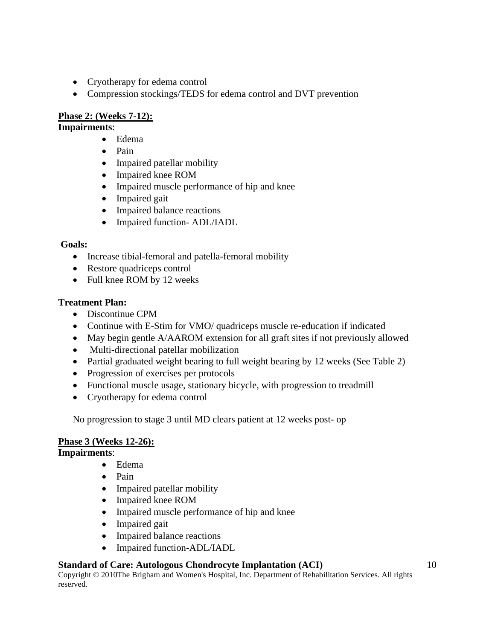- Cryotherapy for edema control
- Compression stockings/TEDS for edema control and DVT prevention

### **Phase 2: (Weeks 7-12):**

# **Impairments**:

- Edema
- Pain
- Impaired patellar mobility
- Impaired knee ROM
- Impaired muscle performance of hip and knee
- Impaired gait
- Impaired balance reactions
- Impaired function- ADL/IADL

### **Goals:**

- Increase tibial-femoral and patella-femoral mobility
- Restore quadriceps control
- Full knee ROM by 12 weeks

# **Treatment Plan:**

- Discontinue CPM
- Continue with E-Stim for VMO/ quadriceps muscle re-education if indicated
- May begin gentle A/AAROM extension for all graft sites if not previously allowed
- Multi-directional patellar mobilization
- Partial graduated weight bearing to full weight bearing by 12 weeks (See Table 2)
- Progression of exercises per protocols
- Functional muscle usage, stationary bicycle, with progression to treadmill
- Cryotherapy for edema control

No progression to stage 3 until MD clears patient at 12 weeks post- op

# **Phase 3 (Weeks 12-26):**

### **Impairments**:

- Edema
- Pain
- Impaired patellar mobility
- Impaired knee ROM
- Impaired muscle performance of hip and knee
- Impaired gait
- Impaired balance reactions
- Impaired function-ADL/IADL

# **Standard of Care: Autologous Chondrocyte Implantation (ACI)**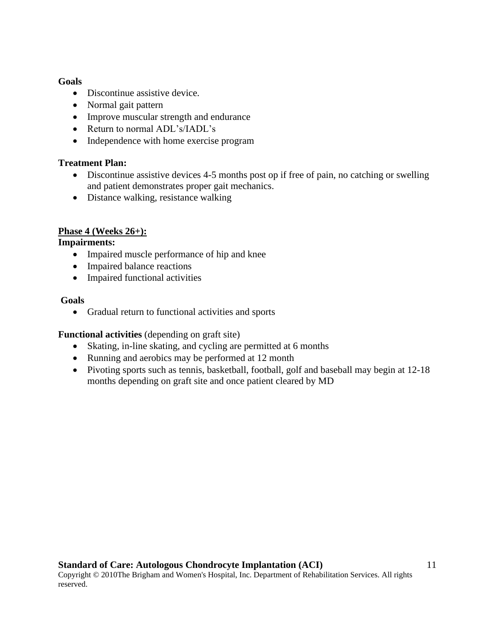#### **Goals**

- Discontinue assistive device.
- Normal gait pattern
- Improve muscular strength and endurance
- Return to normal ADL's/IADL's
- Independence with home exercise program

### **Treatment Plan:**

- Discontinue assistive devices 4-5 months post op if free of pain, no catching or swelling and patient demonstrates proper gait mechanics.
- Distance walking, resistance walking

# **Phase 4 (Weeks 26+):**

### **Impairments:**

- Impaired muscle performance of hip and knee
- Impaired balance reactions
- Impaired functional activities

### **Goals**

• Gradual return to functional activities and sports

### **Functional activities** (depending on graft site)

- Skating, in-line skating, and cycling are permitted at 6 months
- Running and aerobics may be performed at 12 month
- Pivoting sports such as tennis, basketball, football, golf and baseball may begin at 12-18 months depending on graft site and once patient cleared by MD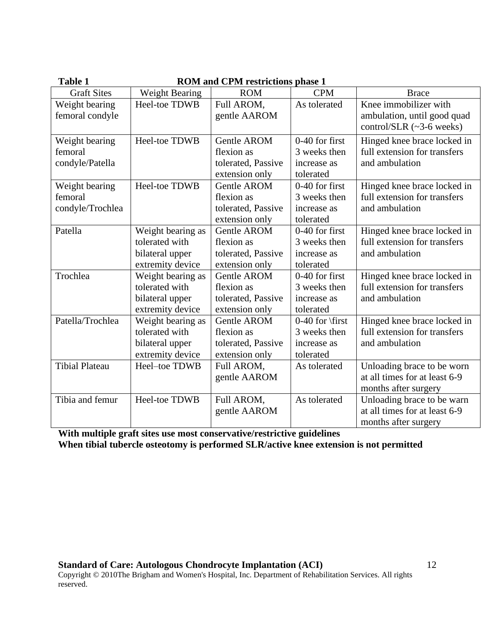| <b>Table 1</b>        | <b>ROM and CPM restrictions phase 1</b> |                    |                   |                                |  |  |  |
|-----------------------|-----------------------------------------|--------------------|-------------------|--------------------------------|--|--|--|
| <b>Graft Sites</b>    | <b>Weight Bearing</b>                   | <b>ROM</b>         | <b>CPM</b>        | <b>Brace</b>                   |  |  |  |
| Weight bearing        | Heel-toe TDWB                           | Full AROM,         | As tolerated      | Knee immobilizer with          |  |  |  |
| femoral condyle       |                                         | gentle AAROM       |                   | ambulation, until good quad    |  |  |  |
|                       |                                         |                    |                   | control/SLR $(\sim]3-6$ weeks) |  |  |  |
| Weight bearing        | Heel-toe TDWB                           | <b>Gentle AROM</b> | 0-40 for first    | Hinged knee brace locked in    |  |  |  |
| femoral               |                                         | flexion as         | 3 weeks then      | full extension for transfers   |  |  |  |
| condyle/Patella       |                                         | tolerated, Passive | increase as       | and ambulation                 |  |  |  |
|                       |                                         | extension only     | tolerated         |                                |  |  |  |
| Weight bearing        | Heel-toe TDWB                           | Gentle AROM        | 0-40 for first    | Hinged knee brace locked in    |  |  |  |
| femoral               |                                         | flexion as         | 3 weeks then      | full extension for transfers   |  |  |  |
| condyle/Trochlea      |                                         | tolerated, Passive | increase as       | and ambulation                 |  |  |  |
|                       |                                         | extension only     | tolerated         |                                |  |  |  |
| Patella               | Weight bearing as                       | Gentle AROM        | $0-40$ for first  | Hinged knee brace locked in    |  |  |  |
|                       | tolerated with                          | flexion as         | 3 weeks then      | full extension for transfers   |  |  |  |
|                       | bilateral upper                         | tolerated, Passive | increase as       | and ambulation                 |  |  |  |
|                       | extremity device                        | extension only     | tolerated         |                                |  |  |  |
| Trochlea              | Weight bearing as                       | <b>Gentle AROM</b> | 0-40 for first    | Hinged knee brace locked in    |  |  |  |
|                       | tolerated with                          | flexion as         | 3 weeks then      | full extension for transfers   |  |  |  |
|                       | bilateral upper                         | tolerated, Passive | increase as       | and ambulation                 |  |  |  |
|                       | extremity device                        | extension only     | tolerated         |                                |  |  |  |
| Patella/Trochlea      | Weight bearing as                       | <b>Gentle AROM</b> | $0-40$ for \first | Hinged knee brace locked in    |  |  |  |
|                       | tolerated with                          | flexion as         | 3 weeks then      | full extension for transfers   |  |  |  |
|                       | bilateral upper                         | tolerated, Passive | increase as       | and ambulation                 |  |  |  |
|                       | extremity device                        | extension only     | tolerated         |                                |  |  |  |
| <b>Tibial Plateau</b> | Heel-toe TDWB                           | Full AROM,         | As tolerated      | Unloading brace to be worn     |  |  |  |
|                       |                                         | gentle AAROM       |                   | at all times for at least 6-9  |  |  |  |
|                       |                                         |                    |                   | months after surgery           |  |  |  |
| Tibia and femur       | Heel-toe TDWB                           | Full AROM,         | As tolerated      | Unloading brace to be warn     |  |  |  |
|                       |                                         | gentle AAROM       |                   | at all times for at least 6-9  |  |  |  |
|                       |                                         |                    |                   | months after surgery           |  |  |  |

**With multiple graft sites use most conservative/restrictive guidelines When tibial tubercle osteotomy is performed SLR/active knee extension is not permitted**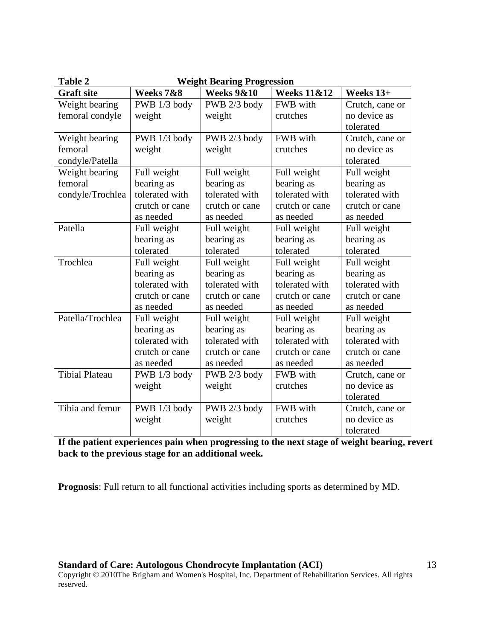| Table 2               | <b>Weight Bearing Progression</b> |                       |                        |                 |  |  |
|-----------------------|-----------------------------------|-----------------------|------------------------|-----------------|--|--|
| <b>Graft site</b>     | Weeks 7&8                         | <b>Weeks 9&amp;10</b> | <b>Weeks 11&amp;12</b> | Weeks 13+       |  |  |
| Weight bearing        | PWB 1/3 body                      | PWB 2/3 body          | FWB with               | Crutch, cane or |  |  |
| femoral condyle       | weight                            | weight                | crutches               | no device as    |  |  |
|                       |                                   |                       |                        | tolerated       |  |  |
| Weight bearing        | PWB 1/3 body                      | PWB 2/3 body          | FWB with               | Crutch, cane or |  |  |
| femoral               | weight                            | weight                | crutches               | no device as    |  |  |
| condyle/Patella       |                                   |                       |                        | tolerated       |  |  |
| Weight bearing        | Full weight                       | Full weight           | Full weight            | Full weight     |  |  |
| femoral               | bearing as                        | bearing as            | bearing as             | bearing as      |  |  |
| condyle/Trochlea      | tolerated with                    | tolerated with        | tolerated with         | tolerated with  |  |  |
|                       | crutch or cane                    | crutch or cane        | crutch or cane         | crutch or cane  |  |  |
|                       | as needed                         | as needed             | as needed              | as needed       |  |  |
| Patella               | Full weight                       | Full weight           | Full weight            | Full weight     |  |  |
|                       | bearing as                        | bearing as            | bearing as             | bearing as      |  |  |
|                       | tolerated                         | tolerated             | tolerated              | tolerated       |  |  |
| Trochlea              | Full weight                       | Full weight           | Full weight            | Full weight     |  |  |
|                       | bearing as                        | bearing as            | bearing as             | bearing as      |  |  |
|                       | tolerated with                    | tolerated with        | tolerated with         | tolerated with  |  |  |
|                       | crutch or cane                    | crutch or cane        | crutch or cane         | crutch or cane  |  |  |
|                       | as needed                         | as needed             | as needed              | as needed       |  |  |
| Patella/Trochlea      | Full weight                       | Full weight           | Full weight            | Full weight     |  |  |
|                       | bearing as                        | bearing as            | bearing as             | bearing as      |  |  |
|                       | tolerated with                    | tolerated with        | tolerated with         | tolerated with  |  |  |
|                       | crutch or cane                    | crutch or cane        | crutch or cane         | crutch or cane  |  |  |
|                       | as needed                         | as needed             | as needed              | as needed       |  |  |
| <b>Tibial Plateau</b> | PWB 1/3 body                      | PWB 2/3 body          | FWB with               | Crutch, cane or |  |  |
|                       | weight                            | weight                | crutches               | no device as    |  |  |
|                       |                                   |                       |                        | tolerated       |  |  |
| Tibia and femur       | PWB 1/3 body                      | PWB 2/3 body          | FWB with               | Crutch, cane or |  |  |
|                       | weight                            | weight                | crutches               | no device as    |  |  |
|                       |                                   |                       |                        | tolerated       |  |  |

**If the patient experiences pain when progressing to the next stage of weight bearing, revert back to the previous stage for an additional week.**

**Prognosis**: Full return to all functional activities including sports as determined by MD.

**Standard of Care: Autologous Chondrocyte Implantation (ACI)**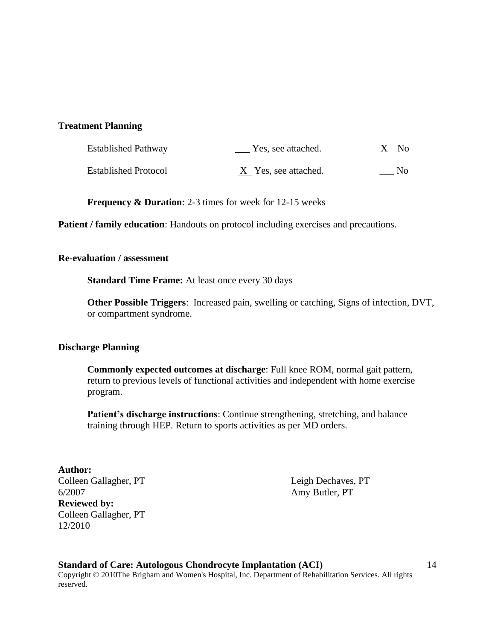#### **Treatment Planning**

| Established Pathway         | Yes, see attached.   | X No |
|-----------------------------|----------------------|------|
| <b>Established Protocol</b> | X Yes, see attached. | No.  |

**Frequency & Duration**: 2-3 times for week for 12-15 weeks

**Patient / family education:** Handouts on protocol including exercises and precautions.

#### **Re-evaluation / assessment**

**Standard Time Frame:** At least once every 30 days

**Other Possible Triggers**: Increased pain, swelling or catching, Signs of infection, DVT, or compartment syndrome.

#### **Discharge Planning**

**Commonly expected outcomes at discharge**: Full knee ROM, normal gait pattern, return to previous levels of functional activities and independent with home exercise program.

**Patient's discharge instructions**: Continue strengthening, stretching, and balance training through HEP. Return to sports activities as per MD orders.

#### **Author:**

Colleen Gallagher, PT Leigh Dechaves, PT 6/2007 Amy Butler, PT **Reviewed by:** Colleen Gallagher, PT 12/2010

**Standard of Care: Autologous Chondrocyte Implantation (ACI)** Copyright © 2010The Brigham and Women's Hospital, Inc. Department of Rehabilitation Services. All rights reserved.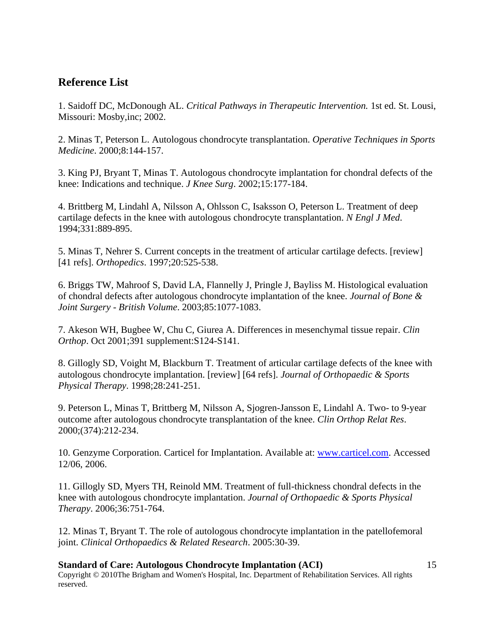# **Reference List**

1. Saidoff DC, McDonough AL. *Critical Pathways in Therapeutic Intervention.* 1st ed. St. Lousi, Missouri: Mosby,inc; 2002.

2. Minas T, Peterson L. Autologous chondrocyte transplantation. *Operative Techniques in Sports Medicine*. 2000;8:144-157.

3. King PJ, Bryant T, Minas T. Autologous chondrocyte implantation for chondral defects of the knee: Indications and technique. *J Knee Surg*. 2002;15:177-184.

4. Brittberg M, Lindahl A, Nilsson A, Ohlsson C, Isaksson O, Peterson L. Treatment of deep cartilage defects in the knee with autologous chondrocyte transplantation. *N Engl J Med*. 1994;331:889-895.

5. Minas T, Nehrer S. Current concepts in the treatment of articular cartilage defects. [review] [41 refs]. *Orthopedics*. 1997;20:525-538.

6. Briggs TW, Mahroof S, David LA, Flannelly J, Pringle J, Bayliss M. Histological evaluation of chondral defects after autologous chondrocyte implantation of the knee. *Journal of Bone & Joint Surgery - British Volume*. 2003;85:1077-1083.

7. Akeson WH, Bugbee W, Chu C, Giurea A. Differences in mesenchymal tissue repair. *Clin Orthop*. Oct 2001;391 supplement:S124-S141.

8. Gillogly SD, Voight M, Blackburn T. Treatment of articular cartilage defects of the knee with autologous chondrocyte implantation. [review] [64 refs]. *Journal of Orthopaedic & Sports Physical Therapy*. 1998;28:241-251.

9. Peterson L, Minas T, Brittberg M, Nilsson A, Sjogren-Jansson E, Lindahl A. Two- to 9-year outcome after autologous chondrocyte transplantation of the knee. *Clin Orthop Relat Res*. 2000;(374):212-234.

10. Genzyme Corporation. Carticel for Implantation. Available at: [www.carticel.com.](http://www.carticel.com/) Accessed 12/06, 2006.

11. Gillogly SD, Myers TH, Reinold MM. Treatment of full-thickness chondral defects in the knee with autologous chondrocyte implantation. *Journal of Orthopaedic & Sports Physical Therapy*. 2006;36:751-764.

12. Minas T, Bryant T. The role of autologous chondrocyte implantation in the patellofemoral joint. *Clinical Orthopaedics & Related Research*. 2005:30-39.

#### **Standard of Care: Autologous Chondrocyte Implantation (ACI)** Copyright © 2010The Brigham and Women's Hospital, Inc. Department of Rehabilitation Services. All rights reserved.